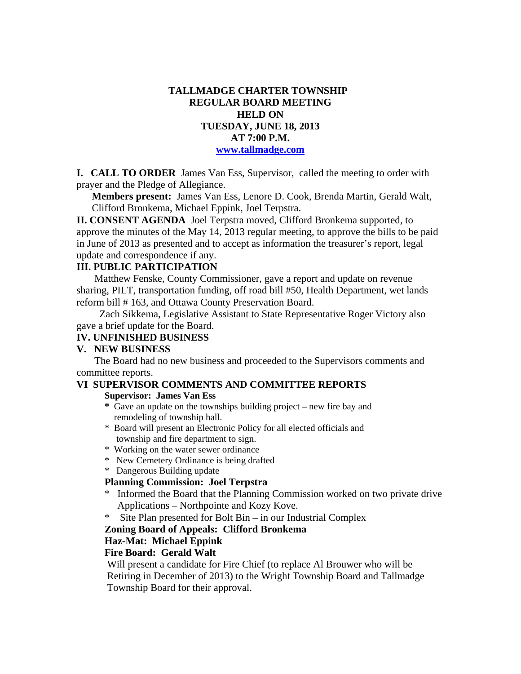# **TALLMADGE CHARTER TOWNSHIP REGULAR BOARD MEETING HELD ON TUESDAY, JUNE 18, 2013 AT 7:00 P.M. www.tallmadge.com**

**I. CALL TO ORDER** James Van Ess, Supervisor, called the meeting to order with prayer and the Pledge of Allegiance.

**Members present:** James Van Ess, Lenore D. Cook, Brenda Martin, Gerald Walt, Clifford Bronkema, Michael Eppink, Joel Terpstra.

**II. CONSENT AGENDA** Joel Terpstra moved, Clifford Bronkema supported, to approve the minutes of the May 14, 2013 regular meeting, to approve the bills to be paid in June of 2013 as presented and to accept as information the treasurer's report, legal update and correspondence if any.

# **III. PUBLIC PARTICIPATION**

Matthew Fenske, County Commissioner, gave a report and update on revenue sharing, PILT, transportation funding, off road bill #50, Health Department, wet lands reform bill # 163, and Ottawa County Preservation Board.

 Zach Sikkema, Legislative Assistant to State Representative Roger Victory also gave a brief update for the Board.

### **IV. UNFINISHED BUSINESS**

#### **V. NEW BUSINESS**

 The Board had no new business and proceeded to the Supervisors comments and committee reports.

#### **VI SUPERVISOR COMMENTS AND COMMITTEE REPORTS**

#### **Supervisor: James Van Ess**

- **\*** Gave an update on the townships building project new fire bay and remodeling of township hall.
- \* Board will present an Electronic Policy for all elected officials and township and fire department to sign.
- \* Working on the water sewer ordinance
- \* New Cemetery Ordinance is being drafted
- \* Dangerous Building update

### **Planning Commission: Joel Terpstra**

- \* Informed the Board that the Planning Commission worked on two private drive Applications – Northpointe and Kozy Kove.
- \* Site Plan presented for Bolt Bin in our Industrial Complex

### **Zoning Board of Appeals: Clifford Bronkema**

### **Haz-Mat: Michael Eppink**

### **Fire Board: Gerald Walt**

 Will present a candidate for Fire Chief (to replace Al Brouwer who will be Retiring in December of 2013) to the Wright Township Board and Tallmadge Township Board for their approval.